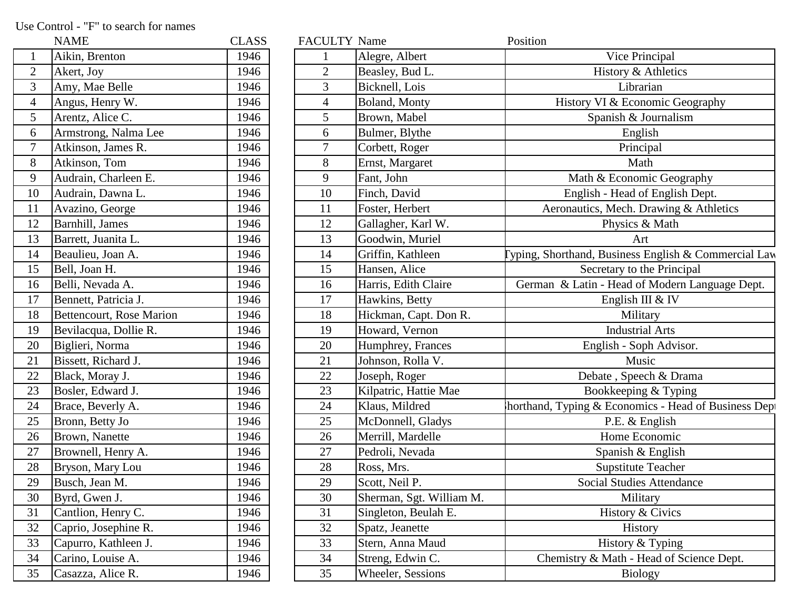Use Control - "F" to search for names

|                | NAME                     | CLASS |
|----------------|--------------------------|-------|
| $\mathbf{1}$   | Aikin, Brenton           | 1946  |
| $\overline{c}$ | Akert, Joy               | 1946  |
| 3              | Amy, Mae Belle           | 1946  |
| $\overline{4}$ | Angus, Henry W.          | 1946  |
| 5              | Arentz, Alice C.         | 1946  |
| 6              | Armstrong, Nalma Lee     | 1946  |
| $\overline{7}$ | Atkinson, James R.       | 1946  |
| 8              | Atkinson, Tom            | 1946  |
| 9              | Audrain, Charleen E.     | 1946  |
| 10             | Audrain, Dawna L.        | 1946  |
| 11             | Avazino, George          | 1946  |
| 12             | Barnhill, James          | 1946  |
| 13             | Barrett, Juanita L.      | 1946  |
| 14             | Beaulieu, Joan A.        | 1946  |
| 15             | Bell, Joan H.            | 1946  |
| 16             | Belli, Nevada A.         | 1946  |
| 17             | Bennett, Patricia J.     | 1946  |
| 18             | Bettencourt, Rose Marion | 1946  |
| 19             | Bevilacqua, Dollie R.    | 1946  |
| 20             | Biglieri, Norma          | 1946  |
| 21             | Bissett, Richard J.      | 1946  |
| 22             | Black, Moray J.          | 1946  |
| 23             | Bosler, Edward J.        | 1946  |
| 24             | Brace, Beverly A.        | 1946  |
| 25             | Bronn, Betty Jo          | 1946  |
| 26             | Brown, Nanette           | 1946  |
| 27             | Brownell, Henry A.       | 1946  |
| 28             | Bryson, Mary Lou         | 1946  |
| 29             | Busch, Jean M.           | 1946  |
| 30             | Byrd, Gwen J.            | 1946  |
| 31             | Cantlion, Henry C.       | 1946  |
| 32             | Caprio, Josephine R.     | 1946  |
| 33             | Capurro, Kathleen J.     | 1946  |
| 34             | Carino, Louise A.        | 1946  |
| 35             | Casazza, Alice R.        | 1946  |

|                 | <b>NAME</b>                     | <b>CLASS</b> | <b>FACULTY Name</b> |                          | Position                                             |
|-----------------|---------------------------------|--------------|---------------------|--------------------------|------------------------------------------------------|
| $\mathbf{1}$    | Aikin, Brenton                  | 1946         |                     | Alegre, Albert           | Vice Principal                                       |
| $\overline{2}$  | Akert, Joy                      | 1946         | $\mathbf{2}$        | Beasley, Bud L.          | History & Athletics                                  |
| 3               | Amy, Mae Belle                  | 1946         | 3                   | Bicknell, Lois           | Librarian                                            |
| $\overline{4}$  | Angus, Henry W.                 | 1946         | $\overline{4}$      | Boland, Monty            | History VI & Economic Geography                      |
| 5               | Arentz, Alice C.                | 1946         | 5                   | Brown, Mabel             | Spanish & Journalism                                 |
| 6               | Armstrong, Nalma Lee            | 1946         | 6                   | Bulmer, Blythe           | English                                              |
| $\overline{7}$  | Atkinson, James R.              | 1946         | $\overline{7}$      | Corbett, Roger           | Principal                                            |
| 8               | Atkinson, Tom                   | 1946         | 8                   | Ernst, Margaret          | Math                                                 |
| 9               | Audrain, Charleen E.            | 1946         | 9                   | Fant, John               | Math & Economic Geography                            |
| 10              | Audrain, Dawna L.               | 1946         | 10                  | Finch, David             | English - Head of English Dept.                      |
| 11              | Avazino, George                 | 1946         | 11                  | Foster, Herbert          | Aeronautics, Mech. Drawing & Athletics               |
| 12              | Barnhill, James                 | 1946         | 12                  | Gallagher, Karl W.       | Physics & Math                                       |
| 13              | Barrett, Juanita L.             | 1946         | 13                  | Goodwin, Muriel          | Art                                                  |
| 14              | Beaulieu, Joan A.               | 1946         | 14                  | Griffin, Kathleen        | yping, Shorthand, Business English & Commercial Law  |
| 15              | Bell, Joan H.                   | 1946         | 15                  | Hansen, Alice            | Secretary to the Principal                           |
| 16              | Belli, Nevada A.                | 1946         | 16                  | Harris, Edith Claire     | German & Latin - Head of Modern Language Dept.       |
| 17              | Bennett, Patricia J.            | 1946         | 17                  | Hawkins, Betty           | English III & IV                                     |
| 18              | <b>Bettencourt, Rose Marion</b> | 1946         | 18                  | Hickman, Capt. Don R.    | Military                                             |
| 19              | Bevilacqua, Dollie R.           | 1946         | 19                  | Howard, Vernon           | <b>Industrial Arts</b>                               |
| 20              | Biglieri, Norma                 | 1946         | 20                  | Humphrey, Frances        | English - Soph Advisor.                              |
| $\overline{21}$ | Bissett, Richard J.             | 1946         | 21                  | Johnson, Rolla V.        | Music                                                |
| $\overline{22}$ | Black, Moray J.                 | 1946         | 22                  | Joseph, Roger            | Debate, Speech & Drama                               |
| 23              | Bosler, Edward J.               | 1946         | 23                  | Kilpatric, Hattie Mae    | Bookkeeping & Typing                                 |
| 24              | Brace, Beverly A.               | 1946         | 24                  | Klaus, Mildred           | horthand, Typing & Economics - Head of Business Dept |
| 25              | Bronn, Betty Jo                 | 1946         | 25                  | McDonnell, Gladys        | P.E. & English                                       |
| 26              | <b>Brown</b> , Nanette          | 1946         | 26                  | Merrill, Mardelle        | Home Economic                                        |
| 27              | Brownell, Henry A.              | 1946         | 27                  | Pedroli, Nevada          | Spanish & English                                    |
| 28              | Bryson, Mary Lou                | 1946         | 28                  | Ross, Mrs.               | <b>Supstitute Teacher</b>                            |
| 29              | Busch, Jean M.                  | 1946         | 29                  | Scott, Neil P.           | Social Studies Attendance                            |
| 30              | Byrd, Gwen J.                   | 1946         | 30                  | Sherman, Sgt. William M. | Military                                             |
| 31              | Cantlion, Henry C.              | 1946         | 31                  | Singleton, Beulah E.     | History & Civics                                     |
| 32              | Caprio, Josephine R.            | 1946         | 32                  | Spatz, Jeanette          | History                                              |
| 33              | Capurro, Kathleen J.            | 1946         | 33                  | Stern, Anna Maud         | History & Typing                                     |
| 34              | Carino, Louise A.               | 1946         | 34                  | Streng, Edwin C.         | Chemistry & Math - Head of Science Dept.             |
| 35              | Casazza, Alice R.               | 1946         | 35                  | <b>Wheeler, Sessions</b> | <b>Biology</b>                                       |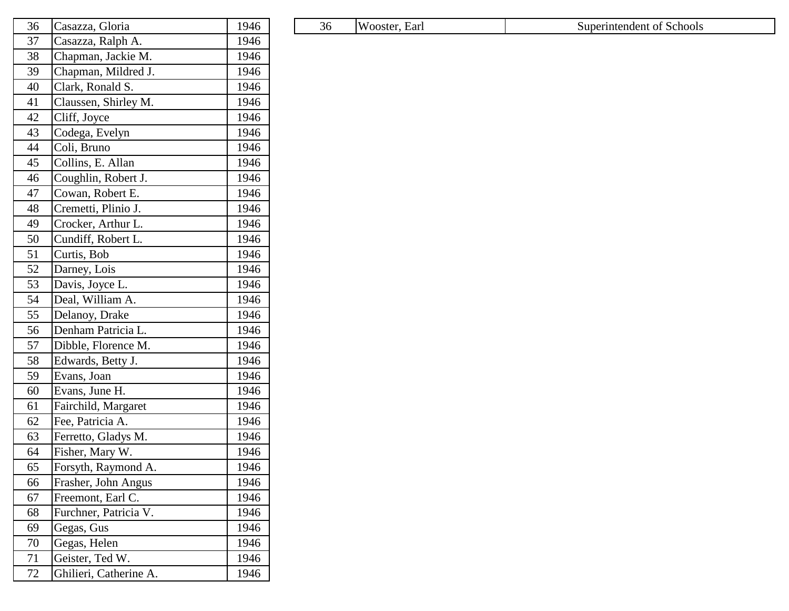| 36 | Casazza, Gloria        | 1946 |
|----|------------------------|------|
| 37 | Casazza, Ralph A.      | 1946 |
| 38 | Chapman, Jackie M.     | 1946 |
| 39 | Chapman, Mildred J.    | 1946 |
| 40 | Clark, Ronald S.       | 1946 |
| 41 | Claussen, Shirley M.   | 1946 |
| 42 | Cliff, Joyce           | 1946 |
| 43 | Codega, Evelyn         | 1946 |
| 44 | Coli, Bruno            | 1946 |
| 45 | Collins, E. Allan      | 1946 |
| 46 | Coughlin, Robert J.    | 1946 |
| 47 | Cowan, Robert E.       | 1946 |
| 48 | Cremetti, Plinio J.    | 1946 |
| 49 | Crocker, Arthur L.     | 1946 |
| 50 | Cundiff, Robert L.     | 1946 |
| 51 | Curtis, Bob            | 1946 |
| 52 | Darney, Lois           | 1946 |
| 53 | Davis, Joyce L.        | 1946 |
| 54 | Deal, William A.       | 1946 |
| 55 | Delanoy, Drake         | 1946 |
| 56 | Denham Patricia L.     | 1946 |
| 57 | Dibble, Florence M.    | 1946 |
| 58 | Edwards, Betty J.      | 1946 |
| 59 | Evans, Joan            | 1946 |
| 60 | Evans, June H.         | 1946 |
| 61 | Fairchild, Margaret    | 1946 |
| 62 | Fee, Patricia A.       | 1946 |
| 63 | Ferretto, Gladys M.    | 1946 |
| 64 | Fisher, Mary W.        | 1946 |
| 65 | Forsyth, Raymond A.    | 1946 |
| 66 | Frasher, John Angus    | 1946 |
| 67 | Freemont, Earl C.      | 1946 |
| 68 | Furchner, Patricia V.  | 1946 |
| 69 | Gegas, Gus             | 1946 |
| 70 | Gegas, Helen           | 1946 |
| 71 | Geister, Ted W.        | 1946 |
| 72 | Ghilieri, Catherine A. | 1946 |

| $\sim$<br>36 | asazza.<br>Jloria | $\sim$<br>'946 |  | .36 | $\mathbf{v}$<br>Earl<br>ostei | Schools<br>Superintendent |
|--------------|-------------------|----------------|--|-----|-------------------------------|---------------------------|
|--------------|-------------------|----------------|--|-----|-------------------------------|---------------------------|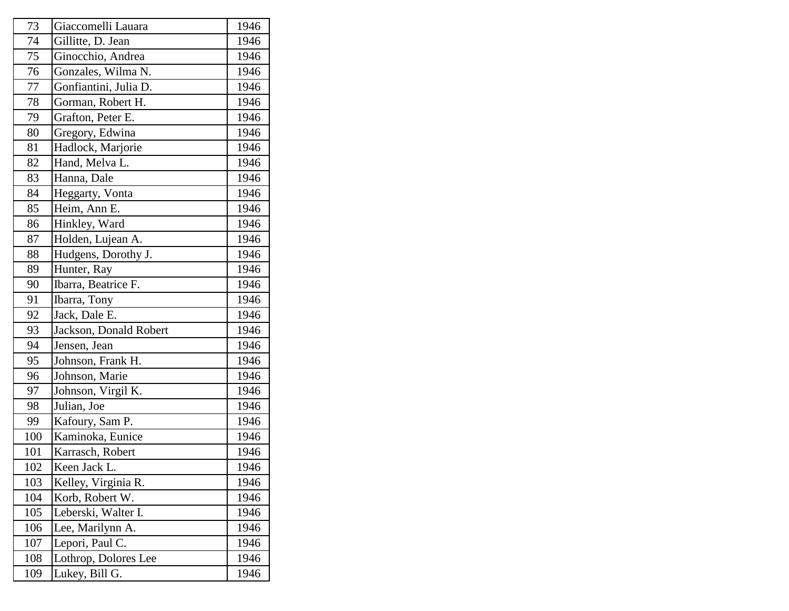| 73  | Giaccomelli Lauara     | 1946 |
|-----|------------------------|------|
| 74  | Gillitte, D. Jean      | 1946 |
| 75  | Ginocchio, Andrea      | 1946 |
| 76  | Gonzales, Wilma N.     | 1946 |
| 77  | Gonfiantini, Julia D.  | 1946 |
| 78  | Gorman, Robert H.      | 1946 |
| 79  | Grafton, Peter E.      | 1946 |
| 80  | Gregory, Edwina        | 1946 |
| 81  | Hadlock, Marjorie      | 1946 |
| 82  | Hand, Melva L.         | 1946 |
| 83  | Hanna, Dale            | 1946 |
| 84  | Heggarty, Vonta        | 1946 |
| 85  | Heim, Ann E.           | 1946 |
| 86  | Hinkley, Ward          | 1946 |
| 87  | Holden, Lujean A.      | 1946 |
| 88  | Hudgens, Dorothy J.    | 1946 |
| 89  | Hunter, Ray            | 1946 |
| 90  | Ibarra, Beatrice F.    | 1946 |
| 91  | Ibarra, Tony           | 1946 |
| 92  | Jack, Dale E.          | 1946 |
| 93  | Jackson, Donald Robert | 1946 |
| 94  | Jensen, Jean           | 1946 |
| 95  | Johnson, Frank H.      | 1946 |
| 96  | Johnson, Marie         | 1946 |
| 97  | Johnson, Virgil K.     | 1946 |
| 98  | Julian, Joe            | 1946 |
| 99  | Kafoury, Sam P.        | 1946 |
| 100 | Kaminoka, Eunice       | 1946 |
| 101 | Karrasch, Robert       | 1946 |
| 102 | Keen Jack L.           | 1946 |
| 103 | Kelley, Virginia R.    | 1946 |
| 104 | Korb, Robert W.        | 1946 |
| 105 | Leberski, Walter I.    | 1946 |
| 106 | Lee, Marilynn A.       | 1946 |
| 107 | Lepori, Paul C.        | 1946 |
| 108 | Lothrop, Dolores Lee   | 1946 |
| 109 | Lukey, Bill G.         | 1946 |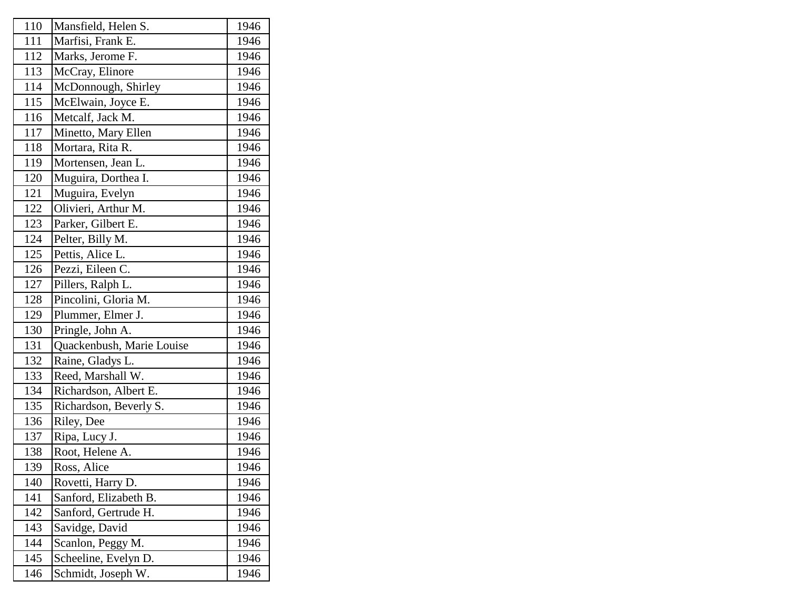| 110 | Mansfield, Helen S.       | 1946 |
|-----|---------------------------|------|
| 111 | Marfisi, Frank E.         | 1946 |
| 112 | Marks, Jerome F.          | 1946 |
| 113 | McCray, Elinore           | 1946 |
| 114 | McDonnough, Shirley       | 1946 |
| 115 | McElwain, Joyce E.        | 1946 |
| 116 | Metcalf, Jack M.          | 1946 |
| 117 | Minetto, Mary Ellen       | 1946 |
| 118 | Mortara, Rita R.          | 1946 |
| 119 | Mortensen, Jean L.        | 1946 |
| 120 | Muguira, Dorthea I.       | 1946 |
| 121 | Muguira, Evelyn           | 1946 |
| 122 | Olivieri, Arthur M.       | 1946 |
| 123 | Parker, Gilbert E.        | 1946 |
| 124 | Pelter, Billy M.          | 1946 |
| 125 | Pettis, Alice L.          | 1946 |
| 126 | Pezzi, Eileen C.          | 1946 |
| 127 | Pillers, Ralph L.         | 1946 |
| 128 | Pincolini, Gloria M.      | 1946 |
| 129 | Plummer, Elmer J.         | 1946 |
| 130 | Pringle, John A.          | 1946 |
| 131 | Quackenbush, Marie Louise | 1946 |
| 132 | Raine, Gladys L.          | 1946 |
| 133 | Reed, Marshall W.         | 1946 |
| 134 | Richardson, Albert E.     | 1946 |
| 135 | Richardson, Beverly S.    | 1946 |
| 136 | Riley, Dee                | 1946 |
| 137 | Ripa, Lucy J.             | 1946 |
| 138 | Root, Helene A.           | 1946 |
| 139 | Ross, Alice               | 1946 |
| 140 | Rovetti, Harry D.         | 1946 |
| 141 | Sanford, Elizabeth B.     | 1946 |
| 142 | Sanford, Gertrude H.      | 1946 |
| 143 | Savidge, David            | 1946 |
| 144 | Scanlon, Peggy M.         | 1946 |
| 145 | Scheeline, Evelyn D.      | 1946 |
| 146 | Schmidt, Joseph W.        | 1946 |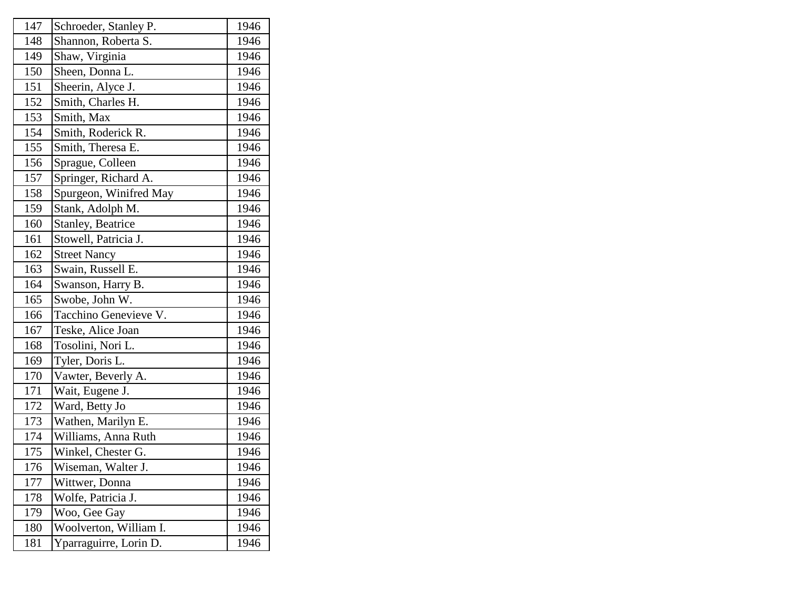| Schroeder, Stanley P.  | 1946 |
|------------------------|------|
| Shannon, Roberta S.    | 1946 |
| Shaw, Virginia         | 1946 |
| Sheen, Donna L.        | 1946 |
| Sheerin, Alyce J.      | 1946 |
| Smith, Charles H.      | 1946 |
| Smith, Max             | 1946 |
| Smith, Roderick R.     | 1946 |
| Smith, Theresa E.      | 1946 |
| Sprague, Colleen       | 1946 |
| Springer, Richard A.   | 1946 |
| Spurgeon, Winifred May | 1946 |
| Stank, Adolph M.       | 1946 |
| Stanley, Beatrice      | 1946 |
| Stowell, Patricia J.   | 1946 |
| <b>Street Nancy</b>    | 1946 |
| Swain, Russell E.      | 1946 |
| Swanson, Harry B.      | 1946 |
| Swobe, John W.         | 1946 |
| Tacchino Genevieve V.  | 1946 |
| Teske, Alice Joan      | 1946 |
| Tosolini, Nori L.      | 1946 |
| Tyler, Doris L.        | 1946 |
| Vawter, Beverly A.     | 1946 |
| Wait, Eugene J.        | 1946 |
| Ward, Betty Jo         | 1946 |
| Wathen, Marilyn E.     | 1946 |
| Williams, Anna Ruth    | 1946 |
| Winkel, Chester G.     | 1946 |
| Wiseman, Walter J.     | 1946 |
| Wittwer, Donna         | 1946 |
| Wolfe, Patricia J.     | 1946 |
| Woo, Gee Gay           | 1946 |
| Woolverton, William I. | 1946 |
| Yparraguirre, Lorin D. | 1946 |
|                        |      |